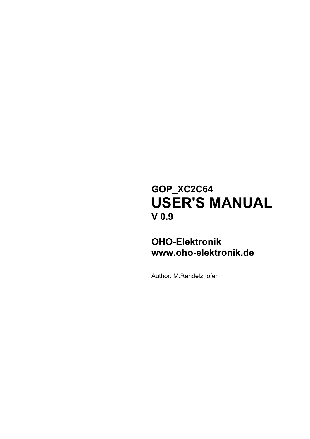# **GOP\_XC2C64 USER'S MANUAL V 0.9**

## **OHO-Elektronik www.oho-elektronik.de**

Author: M.Randelzhofer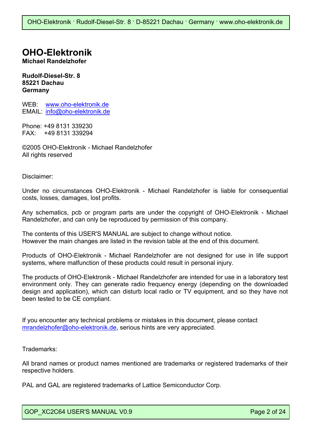## **OHO-Elektronik**

**Michael Randelzhofer** 

**Rudolf-Diesel-Str. 8 85221 Dachau Germany** 

WEB: www.oho-elektronik.de EMAIL: info@oho-elektronik.de

Phone: +49 8131 339230 FAX: +49 8131 339294

©2005 OHO-Elektronik - Michael Randelzhofer All rights reserved

Disclaimer:

Under no circumstances OHO-Elektronik - Michael Randelzhofer is liable for consequential costs, losses, damages, lost profits.

Any schematics, pcb or program parts are under the copyright of OHO-Elektronik - Michael Randelzhofer, and can only be reproduced by permission of this company.

The contents of this USER'S MANUAL are subject to change without notice. However the main changes are listed in the revision table at the end of this document.

Products of OHO-Elektronik - Michael Randelzhofer are not designed for use in life support systems, where malfunction of these products could result in personal injury.

The products of OHO-Elektronik - Michael Randelzhofer are intended for use in a laboratory test environment only. They can generate radio frequency energy (depending on the downloaded design and application), which can disturb local radio or TV equipment, and so they have not been tested to be CE compliant.

If you encounter any technical problems or mistakes in this document, please contact mrandelzhofer@oho-elektronik.de, serious hints are very appreciated.

Trademarks:

All brand names or product names mentioned are trademarks or registered trademarks of their respective holders.

PAL and GAL are registered trademarks of Lattice Semiconductor Corp.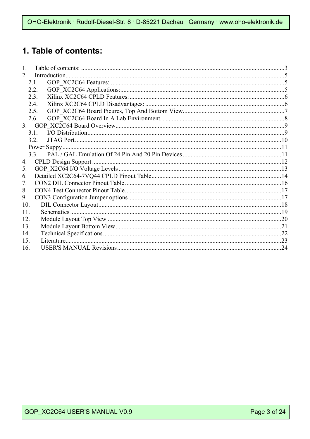## 1. Table of contents:

| $\mathbf{1}$ . |      |  |
|----------------|------|--|
| $2_{-}$        |      |  |
|                | 21   |  |
|                | 2.2. |  |
|                | 2.3. |  |
|                | 2.4. |  |
|                | 2.5. |  |
|                | 2.6. |  |
|                |      |  |
|                | 3.1  |  |
|                | 3.2. |  |
|                |      |  |
|                |      |  |
| 4.             |      |  |
| 5.             |      |  |
| 6.             |      |  |
| 7.             |      |  |
| 8.             |      |  |
| 9.             |      |  |
| 10.            |      |  |
| 11.            |      |  |
| 12.            |      |  |
| 13.            |      |  |
| 14.            |      |  |
| 15.            |      |  |
| 16.            |      |  |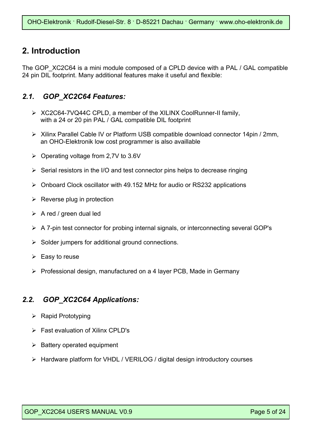### **2. Introduction**

The GOP XC2C64 is a mini module composed of a CPLD device with a PAL / GAL compatible 24 pin DIL footprint. Many additional features make it useful and flexible:

#### *2.1. GOP\_XC2C64 Features:*

- ¾ XC2C64-7VQ44C CPLD, a member of the XILINX CoolRunner-II family, with a 24 or 20 pin PAL / GAL compatible DIL footprint
- ¾ Xilinx Parallel Cable IV or Platform USB compatible download connector 14pin / 2mm, an OHO-Elektronik low cost programmer is also availlable
- $\geq$  Operating voltage from 2,7V to 3.6V
- $\triangleright$  Serial resistors in the I/O and test connector pins helps to decrease ringing
- ¾ Onboard Clock oscillator with 49.152 MHz for audio or RS232 applications
- $\triangleright$  Reverse plug in protection
- $\triangleright$  A red / green dual led
- $\triangleright$  A 7-pin test connector for probing internal signals, or interconnecting several GOP's
- $\triangleright$  Solder jumpers for additional ground connections.
- $\triangleright$  Easy to reuse
- ¾ Professional design, manufactured on a 4 layer PCB, Made in Germany

#### *2.2. GOP\_XC2C64 Applications:*

- $\triangleright$  Rapid Prototyping
- $\triangleright$  Fast evaluation of Xilinx CPLD's
- $\triangleright$  Battery operated equipment
- ¾ Hardware platform for VHDL / VERILOG / digital design introductory courses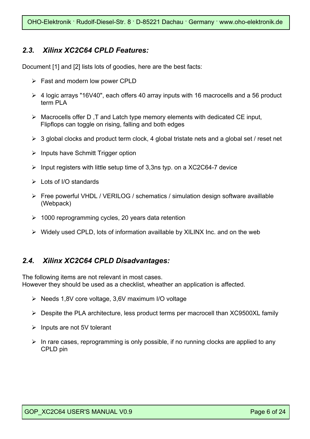### *2.3. Xilinx XC2C64 CPLD Features:*

Document [1] and [2] lists lots of goodies, here are the best facts:

- $\triangleright$  Fast and modern low power CPLD
- ¾ 4 logic arrays "16V40", each offers 40 array inputs with 16 macrocells and a 56 product term PLA
- $\triangleright$  Macrocells offer D, T and Latch type memory elements with dedicated CE input, Flipflops can toggle on rising, falling and both edges
- $\geq 3$  global clocks and product term clock, 4 global tristate nets and a global set / reset net
- $\triangleright$  Inputs have Schmitt Trigger option
- $\triangleright$  Input registers with little setup time of 3,3ns typ. on a XC2C64-7 device
- $\triangleright$  Lots of I/O standards
- ¾ Free powerful VHDL / VERILOG / schematics / simulation design software availlable (Webpack)
- $\geq$  1000 reprogramming cycles, 20 years data retention
- $\triangleright$  Widely used CPLD, lots of information availlable by XILINX Inc. and on the web

#### *2.4. Xilinx XC2C64 CPLD Disadvantages:*

The following items are not relevant in most cases. However they should be used as a checklist, wheather an application is affected.

- ¾ Needs 1,8V core voltage, 3,6V maximum I/O voltage
- ¾ Despite the PLA architecture, less product terms per macrocell than XC9500XL family
- $\triangleright$  Inputs are not 5V tolerant
- $\triangleright$  In rare cases, reprogramming is only possible, if no running clocks are applied to any CPLD pin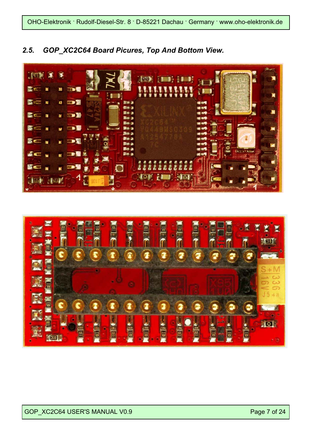



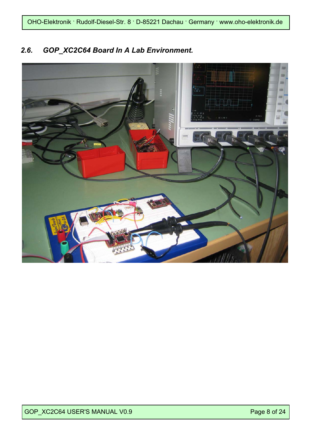### *2.6. GOP\_XC2C64 Board In A Lab Environment.*

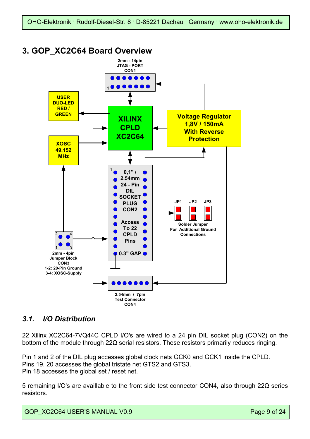### **3. GOP\_XC2C64 Board Overview**



### *3.1. I/O Distribution*

22 Xilinx XC2C64-7VQ44C CPLD I/O's are wired to a 24 pin DIL socket plug (CON2) on the bottom of the module through 22Ω serial resistors. These resistors primarily reduces ringing.

Pin 1 and 2 of the DIL plug accesses global clock nets GCK0 and GCK1 inside the CPLD. Pins 19, 20 accesses the global tristate net GTS2 and GTS3. Pin 18 accesses the global set / reset net.

5 remaining I/O's are availlable to the front side test connector CON4, also through 22Ω series resistors.

GOP XC2C64 USER'S MANUAL V0.9 Page 9 of 24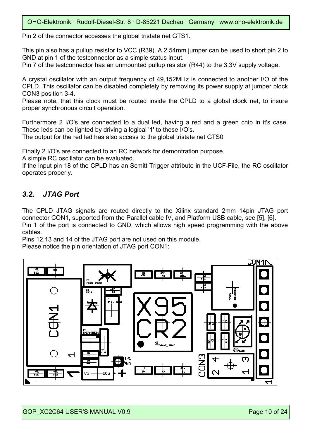Pin 2 of the connector accesses the global tristate net GTS1.

This pin also has a pullup resistor to VCC (R39). A 2.54mm jumper can be used to short pin 2 to GND at pin 1 of the testconnector as a simple status input.

Pin 7 of the testconnector has an unmounted pullup resistor (R44) to the 3,3V supply voltage.

A crystal oscillator with an output frequency of 49,152MHz is connected to another I/O of the CPLD. This oscillator can be disabled completely by removing its power supply at jumper block CON3 position 3-4.

Please note, that this clock must be routed inside the CPLD to a global clock net, to insure proper synchronous circuit operation.

Furthermore 2 I/O's are connected to a dual led, having a red and a green chip in it's case. These leds can be lighted by driving a logical '1' to these I/O's.

The output for the red led has also access to the global tristate net GTS0

Finally 2 I/O's are connected to an RC network for demontration purpose.

A simple RC oscillator can be evaluated.

If the input pin 18 of the CPLD has an Scmitt Trigger attribute in the UCF-File, the RC oscillator operates properly.

### *3.2. JTAG Port*

The CPLD JTAG signals are routed directly to the Xilinx standard 2mm 14pin JTAG port connector CON1, supported from the Parallel cable IV, and Platform USB cable, see [5], [6]. Pin 1 of the port is connected to GND, which allows high speed programming with the above cables.

Pins 12,13 and 14 of the JTAG port are not used on this module. Please notice the pin orientation of JTAG port CON1:

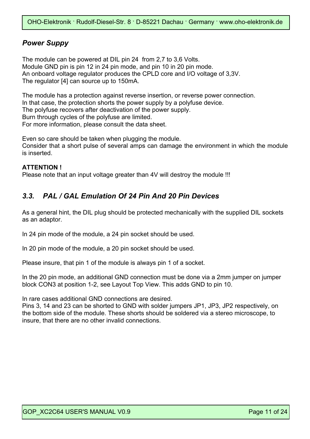### *Power Suppy*

The module can be powered at DIL pin 24 from 2,7 to 3,6 Volts. Module GND pin is pin 12 in 24 pin mode, and pin 10 in 20 pin mode. An onboard voltage regulator produces the CPLD core and I/O voltage of 3,3V. The regulator [4] can source up to 150mA.

The module has a protection against reverse insertion, or reverse power connection. In that case, the protection shorts the power supply by a polyfuse device. The polyfuse recovers after deactivation of the power supply. Burn through cycles of the polyfuse are limited. For more information, please consult the data sheet.

Even so care should be taken when plugging the module. Consider that a short pulse of several amps can damage the environment in which the module is inserted.

#### **ATTENTION !**

Please note that an input voltage greater than 4V will destroy the module !!!

### *3.3. PAL / GAL Emulation Of 24 Pin And 20 Pin Devices*

As a general hint, the DIL plug should be protected mechanically with the supplied DIL sockets as an adaptor.

In 24 pin mode of the module, a 24 pin socket should be used.

In 20 pin mode of the module, a 20 pin socket should be used.

Please insure, that pin 1 of the module is always pin 1 of a socket.

In the 20 pin mode, an additional GND connection must be done via a 2mm jumper on jumper block CON3 at position 1-2, see Layout Top View. This adds GND to pin 10.

In rare cases additional GND connections are desired.

Pins 3, 14 and 23 can be shorted to GND with solder jumpers JP1, JP3, JP2 respectively, on the bottom side of the module. These shorts should be soldered via a stereo microscope, to insure, that there are no other invalid connections.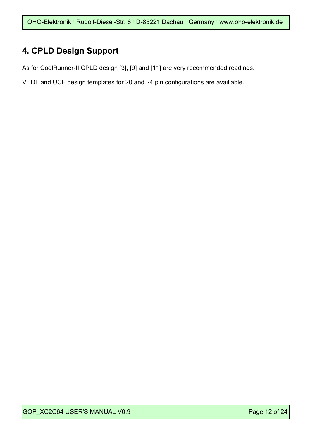## **4. CPLD Design Support**

As for CoolRunner-II CPLD design [3], [9] and [11] are very recommended readings.

VHDL and UCF design templates for 20 and 24 pin configurations are availlable.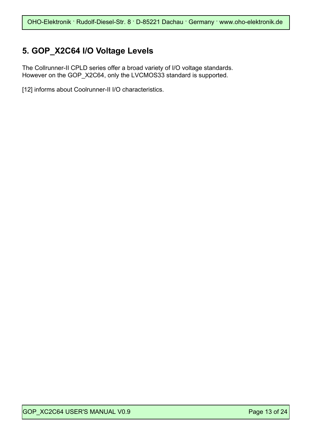### **5. GOP\_X2C64 I/O Voltage Levels**

The Collrunner-II CPLD series offer a broad variety of I/O voltage standards. However on the GOP\_X2C64, only the LVCMOS33 standard is supported.

[12] informs about Coolrunner-II I/O characteristics.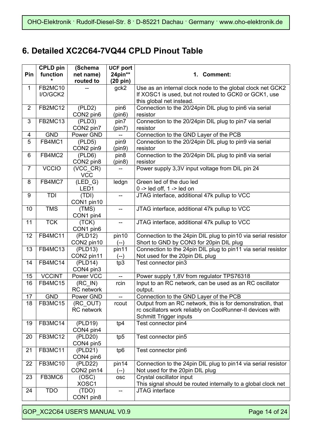## **6. Detailed XC2C64-7VQ44 CPLD Pinout Table**

|                | <b>CPLD pin</b> | (Schema                                | <b>UCF port</b>          |                                                               |
|----------------|-----------------|----------------------------------------|--------------------------|---------------------------------------------------------------|
| Pin            | function        | net name)                              | 24pin**                  | 1. Comment:                                                   |
|                |                 | routed to                              | $(20 \text{ pin})$       |                                                               |
| $\mathbf{1}$   | FB2MC10         |                                        | gck2                     | Use as an internal clock node to the global clock net GCK2    |
|                | I/O/GCK2        |                                        |                          | If XOSC1 is used, but not routed to GCK0 or GCK1, use         |
|                |                 |                                        |                          | this global net instead.                                      |
| $\overline{2}$ | FB2MC12         | (PLD2)                                 | pin6                     | Connection to the 20/24pin DIL plug to pin6 via serial        |
|                |                 | CON2 pin6                              | (pin6)                   | resistor                                                      |
| 3              | FB2MC13         | (PLD3)                                 | pin7                     | Connection to the 20/24pin DIL plug to pin7 via serial        |
|                |                 | CON2 pin7                              | (pin7)                   | resistor                                                      |
| 4              | <b>GND</b>      | Power GND                              | --                       | Connection to the GND Layer of the PCB                        |
| 5              | FB4MC1          | (PLD5)                                 | pin9                     | Connection to the 20/24pin DIL plug to pin9 via serial        |
|                |                 | CON2 pin9                              | (pin9)                   | resistor                                                      |
| 6              | FB4MC2          | (PLD6)                                 | pin <sub>8</sub>         | Connection to the 20/24pin DIL plug to pin8 via serial        |
|                |                 | CON2 pin8                              | (pin8)                   | resistor                                                      |
| $\overline{7}$ | <b>VCCIO</b>    | $(VCC_CCR)$                            |                          | Power supply 3,3V input voltage from DIL pin 24               |
|                |                 | <b>VCC</b>                             |                          |                                                               |
| 8              | FB4MC7          | $\overline{LED}$ (LED $\overline{G}$ ) | ledgn                    | Green led of the duo led                                      |
|                |                 | LED <sub>1</sub>                       |                          | $0 \rightarrow$ led off, 1 -> led on                          |
| 9              | TDI             | (TDI)                                  | $-$                      | JTAG interface, additional 47k pullup to VCC                  |
|                |                 | CON1 pin10                             |                          |                                                               |
| 10             | <b>TMS</b>      | (TMS)                                  | --                       | JTAG interface, additional 47k pullup to VCC                  |
|                |                 | CON1 pin4                              |                          |                                                               |
| 11             | <b>TCK</b>      | (TCK)                                  | $\overline{\phantom{a}}$ | JTAG interface, additional 47k pullup to VCC                  |
|                |                 | CON1 pin6                              |                          |                                                               |
| 12             | FB4MC11         | (PLD12)                                | pin10                    | Connection to the 24pin DIL plug to pin10 via serial resistor |
|                |                 | CON2 pin10                             | $(--)$                   | Short to GND by CON3 for 20pin DIL plug                       |
| 13             | FB4MC13         | (PLD13)                                | pin11                    | Connection to the 24pin DIL plug to pin11 via serial resistor |
|                |                 | CON2 pin11                             | (--)                     | Not used for the 20pin DIL plug                               |
| 14             | FB4MC14         | (PLD14)                                | tp3                      | Test connector pin3                                           |
|                |                 | CON4 pin3                              |                          |                                                               |
| 15             | <b>VCCINT</b>   | Power VCC                              | $\overline{\phantom{m}}$ | Power supply 1,8V from regulator TPS76318                     |
| 16             | FB4MC15         | $(RC$ <sub>IN</sub> )                  | rcin                     | Input to an RC network, can be used as an RC oscillator       |
|                |                 | RC network                             |                          | output.                                                       |
| 17             | <b>GND</b>      | Power GND                              | $\overline{\phantom{a}}$ | Connection to the GND Layer of the PCB                        |
| 18             | FB3MC15         | (RC_OUT)                               | rcout                    | Output from an RC network, this is for demonstration, that    |
|                |                 | RC network                             |                          | rc oscillators work reliably on CoolRunner-II devices with    |
|                |                 |                                        |                          | Schmitt Trigger inputs                                        |
| 19             | FB3MC14         | (PLD19)                                | tp4                      | Test connector pin4                                           |
|                |                 | CON4 pin4                              |                          |                                                               |
| 20             | FB3MC12         | (PLD20)                                | tp5                      | Test connector pin5                                           |
|                |                 | CON4 pin5                              |                          |                                                               |
| 21             | FB3MC11         | (PLD21)                                | tp6                      | Test connector pin6                                           |
|                |                 | CON4 pin6                              |                          |                                                               |
| 22             | FB3MC10         | (PLD22)                                | pin14                    | Connection to the 24pin DIL plug to pin14 via serial resistor |
|                |                 | CON2 pin14                             | $(--)$                   | Not used for the 20pin DIL plug                               |
| 23             | FB3MC6          | (OSC)                                  | <b>OSC</b>               | Crystal oscillator input                                      |
|                |                 | XOSC1                                  |                          | This signal should be routed internally to a global clock net |
| 24             | <b>TDO</b>      | (TDO)                                  | --                       | JTAG interface                                                |
|                |                 | CON1 pin8                              |                          |                                                               |

GOP\_XC2C64 USER'S MANUAL V0.9 Page 14 of 24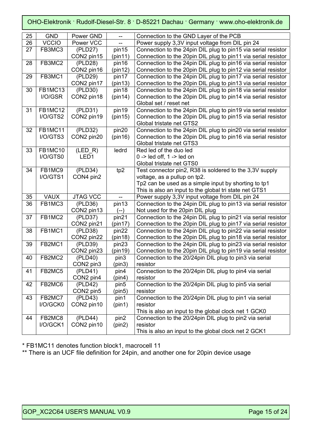| 25 | <b>GND</b>     | Power GND        | $-$               | Connection to the GND Layer of the PCB                        |
|----|----------------|------------------|-------------------|---------------------------------------------------------------|
| 26 | <b>VCCIO</b>   | Power VCC        |                   | Power supply 3,3V input voltage from DIL pin 24               |
| 27 | FB3MC3         | (PLD27)          | pin15             | Connection to the 24pin DIL plug to pin15 via serial resistor |
|    |                | CON2 pin15       | (pin11)           | Connection to the 20pin DIL plug to pin11 via serial resistor |
| 28 | FB3MC2         | (PLD28)          | pin16             | Connection to the 24pin DIL plug to pin16 via serial resistor |
|    |                | CON2 pin16       | (pin12)           | Connection to the 20pin DIL plug to pin12 via serial resistor |
| 29 | FB3MC1         | (PLD29)          | pin17             | Connection to the 24pin DIL plug to pin17 via serial resistor |
|    |                | CON2 pin17       | (pin13)           | Connection to the 20pin DIL plug to pin13 via serial resistor |
| 30 | FB1MC13        | (PLD30)          | pin18             | Connection to the 24pin DIL plug to pin18 via serial resistor |
|    | I/O/GSR        | CON2 pin18       | (pin14)           | Connection to the 20pin DIL plug to pin14 via serial resistor |
|    |                |                  |                   | Global set / reset net                                        |
| 31 | FB1MC12        | (PLD31)          | pin19             | Connection to the 24pin DIL plug to pin19 via serial resistor |
|    | I/O/GTS2       | CON2 pin19       | (pin15)           | Connection to the 20pin DIL plug to pin15 via serial resistor |
|    |                |                  |                   | Global tristate net GTS2                                      |
| 32 | <b>FB1MC11</b> | (PLD32)          | pin20             | Connection to the 24pin DIL plug to pin20 via serial resistor |
|    | I/O/GTS3       | CON2 pin20       | (pin16)           | Connection to the 20pin DIL plug to pin16 via serial resistor |
|    |                |                  |                   | Global tristate net GTS3                                      |
| 33 | FB1MC10        | $(LED_R)$        | ledrd             | Red led of the duo led                                        |
|    | I/O/GTS0       | LED <sub>1</sub> |                   | $0 \rightarrow$ led off, 1 -> led on                          |
|    |                |                  |                   | Global tristate net GTS0                                      |
| 34 | FB1MC9         | (PLD34)          | tp2               | Test connector pin2, R38 is soldered to the 3,3V supply       |
|    | I/O/GTS1       | CON4 pin2        |                   | voltage, as a pullup on tp2.                                  |
|    |                |                  |                   | Tp2 can be used as a simple input by shorting to tp1          |
|    |                |                  |                   | This is also an input to the global tri state net GTS1        |
| 35 | <b>VAUX</b>    | <b>JTAG VCC</b>  |                   | Power supply 3,3V input voltage from DIL pin 24               |
| 36 | FB1MC3         | (PLD36)          | pin13             | Connection to the 24pin DIL plug to pin13 via serial resistor |
|    |                | CON2 pin13       | $(--)$            | Not used for the 20pin DIL plug                               |
| 37 | FB1MC2         | (PLD37)          | pin21             | Connection to the 24pin DIL plug to pin21 via serial resistor |
|    |                | CON2 pin21       | (pin17)           | Connection to the 20pin DIL plug to pin17 via serial resistor |
| 38 | FB1MC1         | (PLD38)          | pin22             | Connection to the 24pin DIL plug to pin22 via serial resistor |
|    |                | CON2 pin22       | (pin18)           | Connection to the 20pin DIL plug to pin18 via serial resistor |
| 39 | FB2MC1         | (PLD39)          | pin <sub>23</sub> | Connection to the 24pin DIL plug to pin23 via serial resistor |
|    |                | CON2 pin23       | (pin19)           | Connection to the 20pin DIL plug to pin19 via serial resistor |
| 40 | FB2MC2         | (PLD40)          | pin3              | Connection to the 20/24pin DIL plug to pin3 via serial        |
|    |                | CON2 pin3        | (pin3)            | resistor                                                      |
| 41 | FB2MC5         | (PLD41)          | pin4              | Connection to the 20/24pin DIL plug to pin4 via serial        |
|    |                | CON2 pin4        | (pin4)            | resistor                                                      |
| 42 | FB2MC6         | (PLD42)          | pin <sub>5</sub>  | Connection to the 20/24pin DIL plug to pin5 via serial        |
|    |                | CON2 pin5        | (pin5)            | resistor                                                      |
| 43 | FB2MC7         | (PLD43)          | pin1              | Connection to the 20/24pin DIL plug to pin1 via serial        |
|    | I/O/GCK0       | CON2 pin10       | (pin1)            | resistor                                                      |
|    |                |                  |                   | This is also an input to the global clock net 1 GCK0          |
| 44 | FB2MC8         | (PLD44)          | pin2              | Connection to the 20/24pin DIL plug to pin2 via serial        |
|    | I/O/GCK1       | CON2 pin10       | (pin2)            | resistor                                                      |
|    |                |                  |                   | This is also an input to the global clock net 2 GCK1          |

\* FB1MC11 denotes function block1, macrocell 11

\*\* There is an UCF file definition for 24pin, and another one for 20pin device usage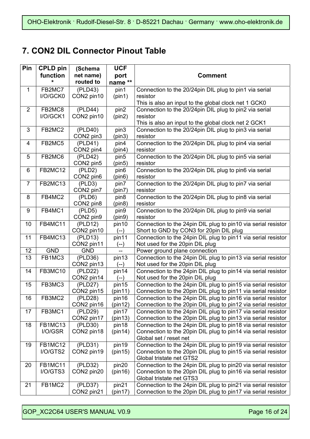## **7. CON2 DIL Connector Pinout Table**

| Pin                     | <b>CPLD pin</b>     | (Schema             | <b>UCF</b>                 |                                                                                           |
|-------------------------|---------------------|---------------------|----------------------------|-------------------------------------------------------------------------------------------|
|                         | function            | net name)           | port                       | <b>Comment</b>                                                                            |
|                         | $\star$             | routed to           | name **                    |                                                                                           |
| $\mathbf{1}$            | FB2MC7              | (PLD43)             | pin1                       | Connection to the 20/24pin DIL plug to pin1 via serial                                    |
|                         | I/O/GCK0            | CON2 pin10          | (pin1)                     | resistor                                                                                  |
|                         |                     |                     |                            | This is also an input to the global clock net 1 GCK0                                      |
| 2                       | FB2MC8              | (PLD44)             | pin2                       | Connection to the 20/24pin DIL plug to pin2 via serial                                    |
|                         | I/O/GCK1            | CON2 pin10          | (pin2)                     | resistor                                                                                  |
|                         |                     |                     |                            | This is also an input to the global clock net 2 GCK1                                      |
| $\overline{3}$          | FB2MC2              | (PLD40)             | pin3                       | Connection to the 20/24pin DIL plug to pin3 via serial                                    |
|                         |                     | CON2 pin3           | (pin3)                     | resistor                                                                                  |
| $\overline{\mathbf{4}}$ | FB2MC5              | (PLD41)             | pin4                       | Connection to the 20/24pin DIL plug to pin4 via serial                                    |
|                         |                     | CON2 pin4           | (pin4)                     | resistor                                                                                  |
| 5                       | FB2MC6              | (PLD42)             | pin <sub>5</sub>           | Connection to the 20/24pin DIL plug to pin5 via serial                                    |
|                         |                     | CON2 pin5           | (pin5)                     | resistor                                                                                  |
| 6                       | <b>FB2MC12</b>      | (PLD2)              | pin <sub>6</sub>           | Connection to the 20/24pin DIL plug to pin6 via serial                                    |
|                         |                     | CON2 pin6           | (pin6)                     | resistor                                                                                  |
| $\overline{7}$          | FB2MC13             | (PLD3)              | pin7                       | Connection to the 20/24pin DIL plug to pin7 via serial                                    |
| 8                       | FB4MC2              | CON2 pin7           | (pin7)                     | resistor<br>Connection to the 20/24pin DIL plug to pin8 via serial                        |
|                         |                     | (PLD6)<br>CON2 pin8 | pin <sub>8</sub><br>(pin8) | resistor                                                                                  |
| 9                       | FB4MC1              | (PLD5)              | pin9                       | Connection to the 20/24pin DIL plug to pin9 via serial                                    |
|                         |                     | CON2 pin9           | (pin9)                     | resistor                                                                                  |
| 10                      | FB4MC11             | (PLD12)             | pin10                      | Connection to the 24pin DIL plug to pin10 via serial resistor                             |
|                         |                     | CON2 pin10          | $(--)$                     | Short to GND by CON3 for 20pin DIL plug                                                   |
| 11                      | FB4MC13             | (PLD13)             | pin11                      | Connection to the 24pin DIL plug to pin11 via serial resistor                             |
|                         |                     | CON2 pin11          | $(--)$                     | Not used for the 20pin DIL plug                                                           |
| 12                      | <b>GND</b>          | <b>GND</b>          |                            | Power ground plane connection                                                             |
| 13                      | FB1MC3              | (PLD36)             | pin13                      | Connection to the 24pin DIL plug to pin13 via serial resistor                             |
|                         |                     | CON2 pin13          | $(--)$                     | Not used for the 20pin DIL plug                                                           |
| 14                      | FB3MC10             | (PLD22)             | pin14                      | Connection to the 24pin DIL plug to pin14 via serial resistor                             |
|                         |                     | CON2 pin14          | $(--)$                     | Not used for the 20pin DIL plug                                                           |
| 15                      | FB3MC3              | (PLD27)             | pin15                      | Connection to the 24pin DIL plug to pin15 via serial resistor                             |
|                         |                     | CON2 pin15          | (pin11)                    | Connection to the 20pin DIL plug to pin11 via serial resistor                             |
| 16                      | FB3MC2              | (PLD28)             | pin16                      | Connection to the 24pin DIL plug to pin16 via serial resistor                             |
|                         |                     | CON2 pin16          | (pin12)                    | Connection to the 20pin DIL plug to pin12 via serial resistor                             |
| 17                      | FB3MC1              | (PLD29)             | pin17                      | Connection to the 24pin DIL plug to pin17 via serial resistor                             |
|                         |                     | CON2 pin17          | (pin13)                    | Connection to the 20pin DIL plug to pin13 via serial resistor                             |
| 18                      | FB1MC13             | (PLD30)             | pin18                      | Connection to the 24pin DIL plug to pin18 via serial resistor                             |
|                         | I/O/GSR             | CON2 pin18          | (pin14)                    | Connection to the 20pin DIL plug to pin14 via serial resistor                             |
|                         |                     |                     |                            | Global set / reset net                                                                    |
| 19                      | FB1MC12<br>I/O/GTS2 | (PLD31)             | pin19                      | Connection to the 24pin DIL plug to pin19 via serial resistor                             |
|                         |                     | CON2 pin19          | (pin15)                    | Connection to the 20pin DIL plug to pin15 via serial resistor<br>Global tristate net GTS2 |
| 20                      | FB1MC11             | (PLD32)             | pin20                      | Connection to the 24pin DIL plug to pin20 via serial resistor                             |
|                         | I/O/GTS3            | CON2 pin20          | (pin16)                    | Connection to the 20pin DIL plug to pin16 via serial resistor                             |
|                         |                     |                     |                            | Global tristate net GTS3                                                                  |
| 21                      | FB1MC2              | (PLD37)             | pin21                      | Connection to the 24pin DIL plug to pin21 via serial resistor                             |
|                         |                     | CON2 pin21          | (pin17)                    | Connection to the 20pin DIL plug to pin17 via serial resistor                             |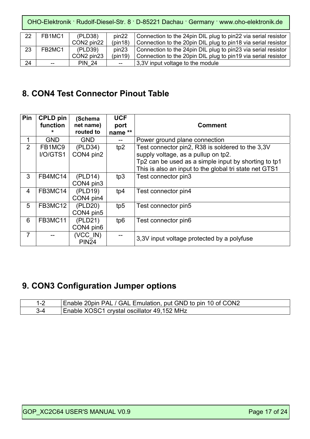| 22 | FB1MC1 | (PLD38)       | pin <sub>22</sub> | Connection to the 24pin DIL plug to pin22 via serial resistor |
|----|--------|---------------|-------------------|---------------------------------------------------------------|
|    |        | CON2 pin22    | (pin18)           | Connection to the 20pin DIL plug to pin18 via serial resistor |
| 23 | FB2MC1 | (PLD39)       | pin <sub>23</sub> | Connection to the 24pin DIL plug to pin23 via serial resistor |
|    |        | CON2 pin23    | (pin19)           | Connection to the 20pin DIL plug to pin19 via serial resistor |
| 24 | $-$    | <b>PIN 24</b> | $-$               | 3,3V input voltage to the module                              |

### **8. CON4 Test Connector Pinout Table**

| Pin            | <b>CPLD pin</b><br>function<br>* | (Schema<br>net name)<br>routed to | <b>UCF</b><br>port<br>name ** | <b>Comment</b>                                                                                                                                                                                            |
|----------------|----------------------------------|-----------------------------------|-------------------------------|-----------------------------------------------------------------------------------------------------------------------------------------------------------------------------------------------------------|
| 1              | <b>GND</b>                       | <b>GND</b>                        |                               | Power ground plane connection                                                                                                                                                                             |
| $\overline{2}$ | FB1MC9<br>I/O/GTS1               | (PLD34)<br>CON4 pin2              | tp2                           | Test connector pin2, R38 is soldered to the 3,3V<br>supply voltage, as a pullup on tp2.<br>Tp2 can be used as a simple input by shorting to tp1<br>This is also an input to the global tri state net GTS1 |
| 3              | FB4MC14                          | (PLD14)<br>CON4 pin3              | tp3                           | Test connector pin3                                                                                                                                                                                       |
| 4              | FB3MC14                          | (PLD19)<br>CON4 pin4              | tp4                           | Test connector pin4                                                                                                                                                                                       |
| 5              | FB3MC12                          | (PLD20)<br>CON4 pin5              | tp <sub>5</sub>               | Test connector pin5                                                                                                                                                                                       |
| 6              | FB3MC11                          | (PLD21)<br>CON4 pin6              | tp6                           | Test connector pin6                                                                                                                                                                                       |
| $\overline{7}$ |                                  | (VCC IN)<br><b>PIN24</b>          |                               | 3,3V input voltage protected by a polyfuse                                                                                                                                                                |

## **9. CON3 Configuration Jumper options**

| Enable 20pin PAL / GAL Emulation, put GND to pin 10 of CON2 |
|-------------------------------------------------------------|
| Enable XOSC1 crystal oscillator 49,152 MHz                  |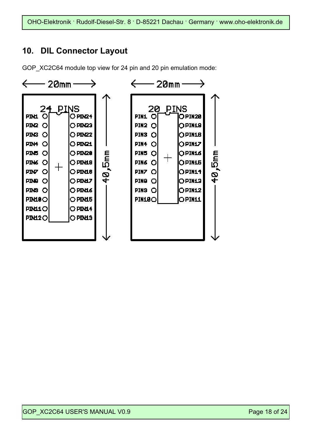### **10. DIL Connector Layout**

GOP XC2C64 module top view for 24 pin and 20 pin emulation mode:

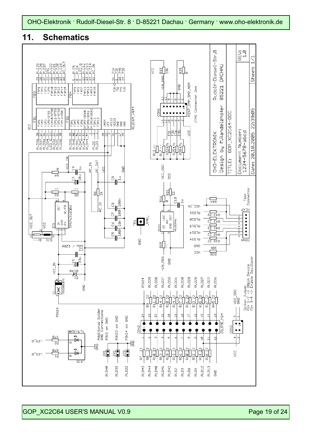

### **11. Schematics**

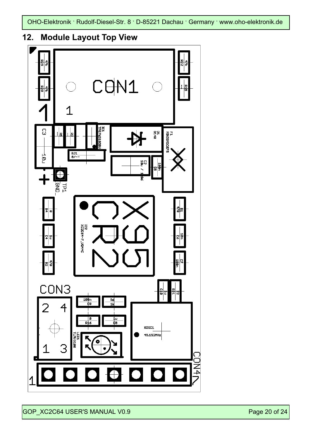

## **12. Module Layout Top View**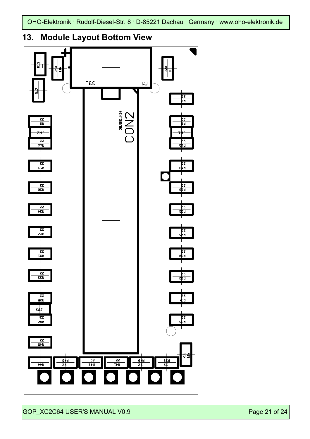

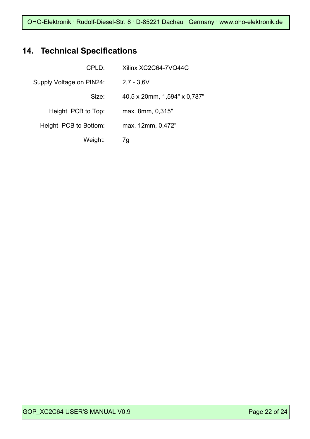## **14. Technical Specifications**

| CPLD:                    | Xilinx XC2C64-7VQ44C         |
|--------------------------|------------------------------|
| Supply Voltage on PIN24: | $2,7 - 3,6V$                 |
| Size:                    | 40,5 x 20mm, 1,594" x 0,787" |
| Height PCB to Top:       | max. 8mm, 0,315"             |
| Height PCB to Bottom:    | max. 12mm, 0,472"            |
| Weight:                  | 7q                           |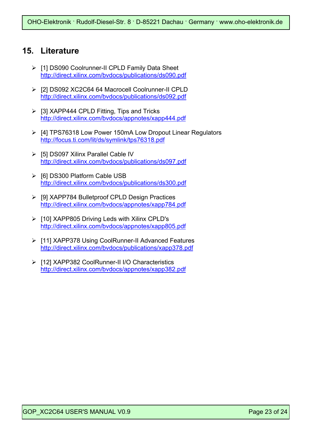### **15. Literature**

- ¾ [1] DS090 Coolrunner-II CPLD Family Data Sheet http://direct.xilinx.com/bvdocs/publications/ds090.pdf
- ¾ [2] DS092 XC2C64 64 Macrocell Coolrunner-II CPLD http://direct.xilinx.com/bvdocs/publications/ds092.pdf
- $\triangleright$  [3] XAPP444 CPLD Fitting, Tips and Tricks http://direct.xilinx.com/bvdocs/appnotes/xapp444.pdf
- ¾ [4] TPS76318 Low Power 150mA Low Dropout Linear Regulators http://focus.ti.com/lit/ds/symlink/tps76318.pdf
- ¾ [5] DS097 Xilinx Parallel Cable IV http://direct.xilinx.com/bvdocs/publications/ds097.pdf
- ¾ [6] DS300 Platform Cable USB http://direct.xilinx.com/bvdocs/publications/ds300.pdf
- ¾ [9] XAPP784 Bulletproof CPLD Design Practices http://direct.xilinx.com/bvdocs/appnotes/xapp784.pdf
- ¾ [10] XAPP805 Driving Leds with Xilinx CPLD's http://direct.xilinx.com/bvdocs/appnotes/xapp805.pdf
- ¾ [11] XAPP378 Using CoolRunner-II Advanced Features http://direct.xilinx.com/bvdocs/publications/xapp378.pdf
- ¾ [12] XAPP382 CoolRunner-II I/O Characteristics http://direct.xilinx.com/bvdocs/appnotes/xapp382.pdf